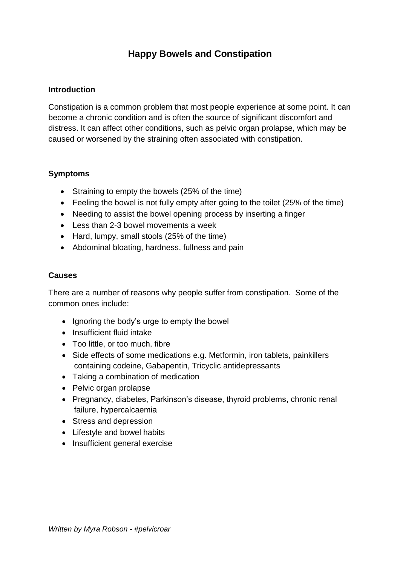# **Happy Bowels and Constipation**

### **Introduction**

Constipation is a common problem that most people experience at some point. It can become a chronic condition and is often the source of significant discomfort and distress. It can affect other conditions, such as pelvic organ prolapse, which may be caused or worsened by the straining often associated with constipation.

#### **Symptoms**

- Straining to empty the bowels (25% of the time)
- Feeling the bowel is not fully empty after going to the toilet (25% of the time)
- Needing to assist the bowel opening process by inserting a finger
- Less than 2-3 bowel movements a week
- Hard, lumpy, small stools (25% of the time)
- Abdominal bloating, hardness, fullness and pain

#### **Causes**

There are a number of reasons why people suffer from constipation. Some of the common ones include:

- Ignoring the body's urge to empty the bowel
- Insufficient fluid intake
- Too little, or too much, fibre
- Side effects of some medications e.g. Metformin, iron tablets, painkillers containing codeine, Gabapentin, Tricyclic antidepressants
- Taking a combination of medication
- Pelvic organ prolapse
- Pregnancy, diabetes, Parkinson's disease, thyroid problems, chronic renal failure, hypercalcaemia
- Stress and depression
- Lifestyle and bowel habits
- Insufficient general exercise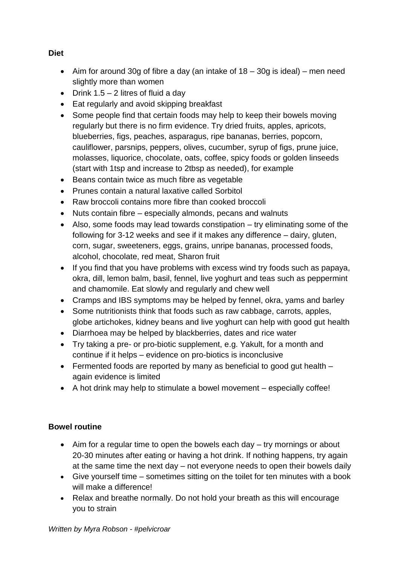- Aim for around 30g of fibre a day (an intake of  $18 30q$  is ideal) men need slightly more than women
- Drink  $1.5 2$  litres of fluid a day
- Eat regularly and avoid skipping breakfast
- Some people find that certain foods may help to keep their bowels moving regularly but there is no firm evidence. Try dried fruits, apples, apricots, blueberries, figs, peaches, asparagus, ripe bananas, berries, popcorn, cauliflower, parsnips, peppers, olives, cucumber, syrup of figs, prune juice, molasses, liquorice, chocolate, oats, coffee, spicy foods or golden linseeds (start with 1tsp and increase to 2tbsp as needed), for example
- Beans contain twice as much fibre as vegetable
- Prunes contain a natural laxative called Sorbitol
- Raw broccoli contains more fibre than cooked broccoli
- Nuts contain fibre especially almonds, pecans and walnuts
- Also, some foods may lead towards constipation try eliminating some of the following for 3-12 weeks and see if it makes any difference – dairy, gluten, corn, sugar, sweeteners, eggs, grains, unripe bananas, processed foods, alcohol, chocolate, red meat, Sharon fruit
- If you find that you have problems with excess wind try foods such as papaya, okra, dill, lemon balm, basil, fennel, live yoghurt and teas such as peppermint and chamomile. Eat slowly and regularly and chew well
- Cramps and IBS symptoms may be helped by fennel, okra, yams and barley
- Some nutritionists think that foods such as raw cabbage, carrots, apples, globe artichokes, kidney beans and live yoghurt can help with good gut health
- Diarrhoea may be helped by blackberries, dates and rice water
- Try taking a pre- or pro-biotic supplement, e.g. Yakult, for a month and continue if it helps – evidence on pro-biotics is inconclusive
- Fermented foods are reported by many as beneficial to good gut health again evidence is limited
- A hot drink may help to stimulate a bowel movement especially coffee!

# **Bowel routine**

- Aim for a regular time to open the bowels each day try mornings or about 20-30 minutes after eating or having a hot drink. If nothing happens, try again at the same time the next day – not everyone needs to open their bowels daily
- Give yourself time sometimes sitting on the toilet for ten minutes with a book will make a difference!
- Relax and breathe normally. Do not hold your breath as this will encourage you to strain